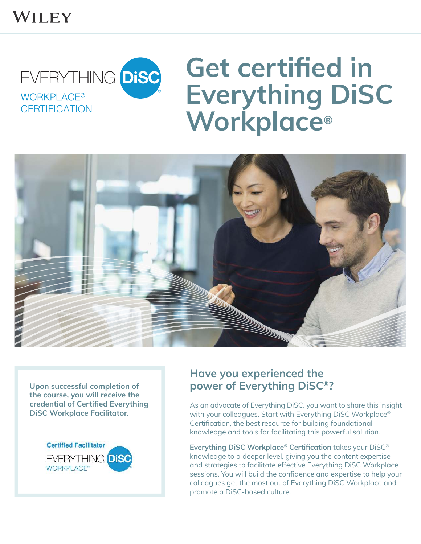# WILEY



# **Get certified in Everything DiSC Workplace®**



**Upon successful completion of the course, you will receive the credential of Certiied Everything DiSC Workplace Facilitator.**



## **Have you experienced the power of Everything DiSC®?**

As an advocate of Everything DiSC, you want to share this insight with your colleagues. Start with Everything DiSC Workplace® Certification, the best resource for building foundational knowledge and tools for facilitating this powerful solution.

**Everything DiSC Workplace<sup>®</sup> Certification** takes your DiSC<sup>®</sup> knowledge to a deeper level, giving you the content expertise and strategies to facilitate effective Everything DiSC Workplace sessions. You will build the confidence and expertise to help your colleagues get the most out of Everything DiSC Workplace and promote a DiSC-based culture.